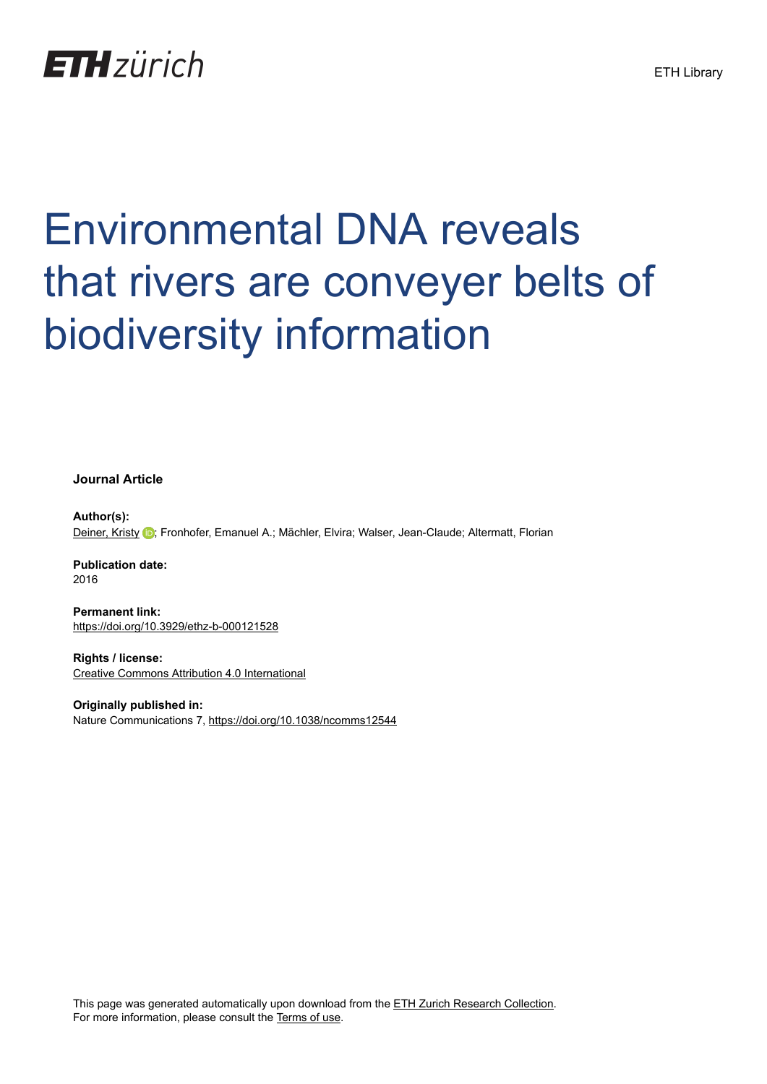## **ETH**zürich

# Environmental DNA reveals that rivers are conveyer belts of biodiversity information

**Journal Article**

**Author(s):** [Deiner, Kristy](https://orcid.org/0000-0001-9755-3223) D; Fronhofer, Emanuel A.; Mächler, Elvira; Walser, Jean-Claude; Altermatt, Florian

**Publication date:** 2016

**Permanent link:** <https://doi.org/10.3929/ethz-b-000121528>

**Rights / license:** [Creative Commons Attribution 4.0 International](http://creativecommons.org/licenses/by/4.0/)

**Originally published in:** Nature Communications 7,<https://doi.org/10.1038/ncomms12544>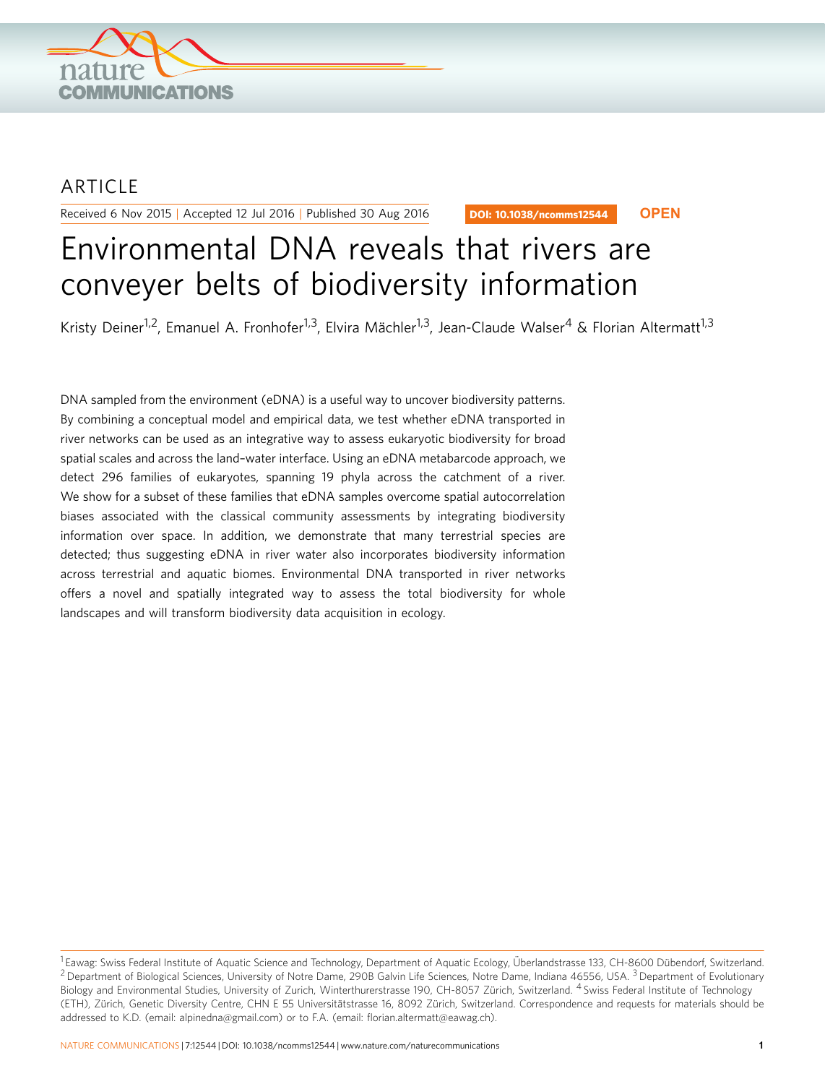

### **ARTICLE**

Received 6 Nov 2015 | Accepted 12 Jul 2016 | Published 30 Aug 2016

DOI: 10.1038/ncomms12544 **OPEN**

## Environmental DNA reveals that rivers are conveyer belts of biodiversity information

Kristy Deiner<sup>1,2</sup>, Emanuel A. Fronhofer<sup>1,3</sup>, Elvira Mächler<sup>1,3</sup>, Jean-Claude Walser<sup>4</sup> & Florian Altermatt<sup>1,3</sup>

DNA sampled from the environment (eDNA) is a useful way to uncover biodiversity patterns. By combining a conceptual model and empirical data, we test whether eDNA transported in river networks can be used as an integrative way to assess eukaryotic biodiversity for broad spatial scales and across the land–water interface. Using an eDNA metabarcode approach, we detect 296 families of eukaryotes, spanning 19 phyla across the catchment of a river. We show for a subset of these families that eDNA samples overcome spatial autocorrelation biases associated with the classical community assessments by integrating biodiversity information over space. In addition, we demonstrate that many terrestrial species are detected; thus suggesting eDNA in river water also incorporates biodiversity information across terrestrial and aquatic biomes. Environmental DNA transported in river networks offers a novel and spatially integrated way to assess the total biodiversity for whole landscapes and will transform biodiversity data acquisition in ecology.

<sup>&</sup>lt;sup>1</sup> Eawag: Swiss Federal Institute of Aquatic Science and Technology, Department of Aquatic Ecology, Überlandstrasse 133, CH-8600 Dübendorf, Switzerland. <sup>2</sup> Department of Biological Sciences, University of Notre Dame, 290B Galvin Life Sciences, Notre Dame, Indiana 46556, USA. <sup>3</sup> Department of Evolutionary Biology and Environmental Studies, University of Zurich, Winterthurerstrasse 190, CH-8057 Zürich, Switzerland. <sup>4</sup> Swiss Federal Institute of Technology (ETH), Zürich, Genetic Diversity Centre, CHN E 55 Universitätstrasse 16, 8092 Zürich, Switzerland. Correspondence and requests for materials should be addressed to K.D. (email: [alpinedna@gmail.com](mailto:alpinedna@gmail.com)) or to F.A. (email: [florian.altermatt@eawag.ch](mailto:florian.altermatt@eawag.ch)).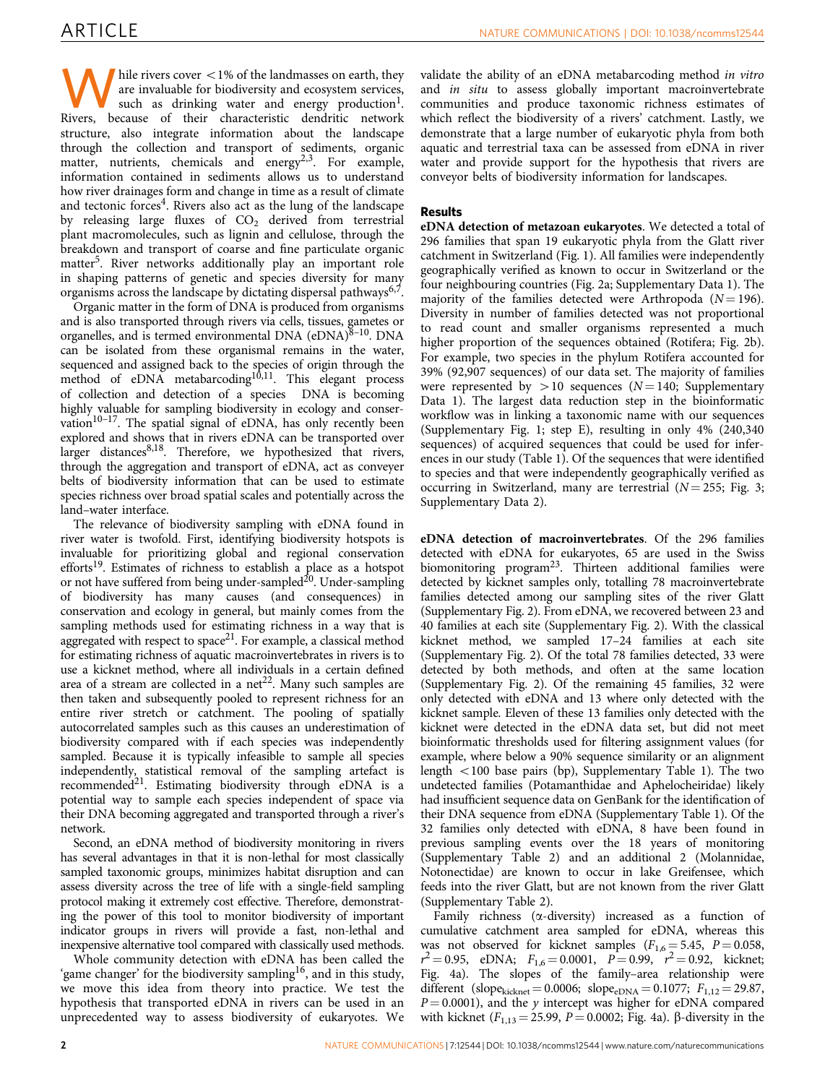While rivers cover  $\lt 1\%$  of the landmasses on earth, they<br>such as drinking water and energy production<sup>1</sup>.<br>Pivers because of their characteristic dendritic network are invaluable for biodiversity and ecosystem services, Rivers, because of their characteristic dendritic network structure, also integrate information about the landscape through the collection and transport of sediments, organic matter, nutrients, chemicals and energy<sup>2,3</sup>. For example, information contained in sediments allows us to understand how river drainages form and change in time as a result of climate and tectonic forces<sup>4</sup>. Rivers also act as the lung of the landscape by releasing large fluxes of  $CO<sub>2</sub>$  derived from terrestrial plant macromolecules, such as lignin and cellulose, through the breakdown and transport of coarse and fine particulate organic matter<sup>[5](#page-8-0)</sup>. River networks additionally play an important role in shaping patterns of genetic and species diversity for many organisms across the landscape by dictating dispersal pathways<sup>6,7</sup>.

Organic matter in the form of DNA is produced from organisms and is also transported through rivers via cells, tissues, gametes or organelles, and is termed environmental DNA (eDNA)<sup>8-10</sup>. DNA can be isolated from these organismal remains in the water, sequenced and assigned back to the species of origin through the method of eDNA metabarcoding<sup>10,11</sup>. This elegant process of collection and detection of a species DNA is becoming highly valuable for sampling biodiversity in ecology and conservation $10-17$ . The spatial signal of eDNA, has only recently been explored and shows that in rivers eDNA can be transported over larger distances $8,18$ . Therefore, we hypothesized that rivers, through the aggregation and transport of eDNA, act as conveyer belts of biodiversity information that can be used to estimate species richness over broad spatial scales and potentially across the land–water interface.

The relevance of biodiversity sampling with eDNA found in river water is twofold. First, identifying biodiversity hotspots is invaluable for prioritizing global and regional conservation efforts<sup>[19](#page-8-0)</sup>. Estimates of richness to establish a place as a hotspot or not have suffered from being under-sampled<sup>20</sup>. Under-sampling of biodiversity has many causes (and consequences) in conservation and ecology in general, but mainly comes from the sampling methods used for estimating richness in a way that is aggregated with respect to space<sup>21</sup>. For example, a classical method for estimating richness of aquatic macroinvertebrates in rivers is to use a kicknet method, where all individuals in a certain defined area of a stream are collected in a net<sup>22</sup>. Many such samples are then taken and subsequently pooled to represent richness for an entire river stretch or catchment. The pooling of spatially autocorrelated samples such as this causes an underestimation of biodiversity compared with if each species was independently sampled. Because it is typically infeasible to sample all species independently, statistical removal of the sampling artefact is recommended<sup>21</sup>. Estimating biodiversity through eDNA is a potential way to sample each species independent of space via their DNA becoming aggregated and transported through a river's network.

Second, an eDNA method of biodiversity monitoring in rivers has several advantages in that it is non-lethal for most classically sampled taxonomic groups, minimizes habitat disruption and can assess diversity across the tree of life with a single-field sampling protocol making it extremely cost effective. Therefore, demonstrating the power of this tool to monitor biodiversity of important indicator groups in rivers will provide a fast, non-lethal and inexpensive alternative tool compared with classically used methods.

Whole community detection with eDNA has been called the 'game changer' for the biodiversity sampling<sup>[16](#page-8-0)</sup>, and in this study, we move this idea from theory into practice. We test the hypothesis that transported eDNA in rivers can be used in an unprecedented way to assess biodiversity of eukaryotes. We validate the ability of an eDNA metabarcoding method in vitro and in situ to assess globally important macroinvertebrate communities and produce taxonomic richness estimates of which reflect the biodiversity of a rivers' catchment. Lastly, we demonstrate that a large number of eukaryotic phyla from both aquatic and terrestrial taxa can be assessed from eDNA in river water and provide support for the hypothesis that rivers are conveyor belts of biodiversity information for landscapes.

#### Results

eDNA detection of metazoan eukaryotes. We detected a total of 296 families that span 19 eukaryotic phyla from the Glatt river catchment in Switzerland ([Fig. 1](#page-3-0)). All families were independently geographically verified as known to occur in Switzerland or the four neighbouring countries [\(Fig. 2a](#page-4-0); Supplementary Data 1). The majority of the families detected were Arthropoda ( $N = 196$ ). Diversity in number of families detected was not proportional to read count and smaller organisms represented a much higher proportion of the sequences obtained (Rotifera; [Fig. 2b](#page-4-0)). For example, two species in the phylum Rotifera accounted for 39% (92,907 sequences) of our data set. The majority of families were represented by  $> 10$  sequences (N = 140; Supplementary Data 1). The largest data reduction step in the bioinformatic workflow was in linking a taxonomic name with our sequences (Supplementary Fig. 1; step E), resulting in only 4% (240,340 sequences) of acquired sequences that could be used for inferences in our study ([Table 1](#page-5-0)). Of the sequences that were identified to species and that were independently geographically verified as occurring in Switzerland, many are terrestrial  $(N = 255;$  [Fig. 3;](#page-5-0) Supplementary Data 2).

eDNA detection of macroinvertebrates. Of the 296 families detected with eDNA for eukaryotes, 65 are used in the Swiss biomonitoring program<sup>23</sup>. Thirteen additional families were detected by kicknet samples only, totalling 78 macroinvertebrate families detected among our sampling sites of the river Glatt (Supplementary Fig. 2). From eDNA, we recovered between 23 and 40 families at each site (Supplementary Fig. 2). With the classical kicknet method, we sampled 17–24 families at each site (Supplementary Fig. 2). Of the total 78 families detected, 33 were detected by both methods, and often at the same location (Supplementary Fig. 2). Of the remaining 45 families, 32 were only detected with eDNA and 13 where only detected with the kicknet sample. Eleven of these 13 families only detected with the kicknet were detected in the eDNA data set, but did not meet bioinformatic thresholds used for filtering assignment values (for example, where below a 90% sequence similarity or an alignment length  $<$  100 base pairs (bp), Supplementary Table 1). The two undetected families (Potamanthidae and Aphelocheiridae) likely had insufficient sequence data on GenBank for the identification of their DNA sequence from eDNA (Supplementary Table 1). Of the 32 families only detected with eDNA, 8 have been found in previous sampling events over the 18 years of monitoring (Supplementary Table 2) and an additional 2 (Molannidae, Notonectidae) are known to occur in lake Greifensee, which feeds into the river Glatt, but are not known from the river Glatt (Supplementary Table 2).

Family richness  $(\alpha$ -diversity) increased as a function of cumulative catchment area sampled for eDNA, whereas this was not observed for kicknet samples  $(F_{1,6} = 5.45, P = 0.058,$  $r^2 = 0.95$ , eDNA;  $F_{1,6} = 0.0001$ ,  $P = 0.99$ ,  $r^2 = 0.92$ , kicknet; [Fig. 4a](#page-6-0)). The slopes of the family–area relationship were different (slope<sub>kicknet</sub> = 0.0006; slope<sub>eDNA</sub> = 0.1077;  $F_{1,12}$  = 29.87,  $P = 0.0001$ ), and the y intercept was higher for eDNA compared with kicknet  $(F_{1,13} = 25.99, P = 0.0002;$  [Fig. 4a](#page-6-0)).  $\beta$ -diversity in the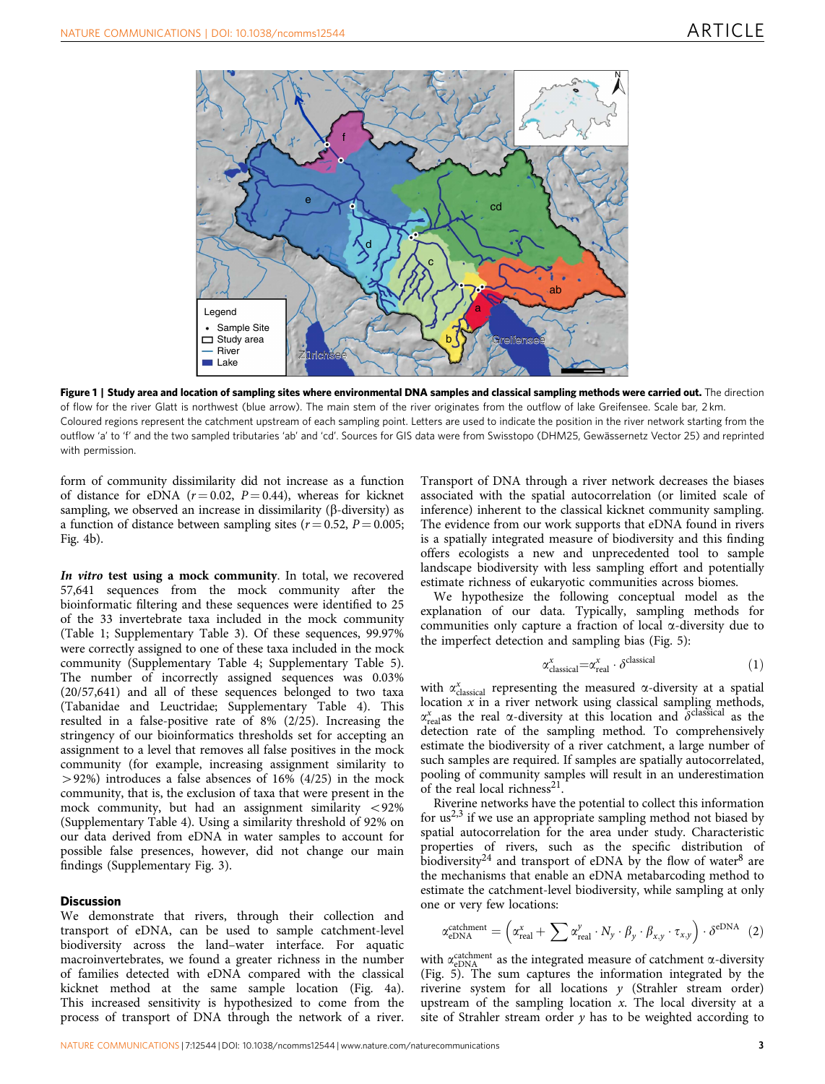<span id="page-3-0"></span>

Figure 1 | Study area and location of sampling sites where environmental DNA samples and classical sampling methods were carried out. The direction of flow for the river Glatt is northwest (blue arrow). The main stem of the river originates from the outflow of lake Greifensee. Scale bar, 2 km. Coloured regions represent the catchment upstream of each sampling point. Letters are used to indicate the position in the river network starting from the outflow 'a' to 'f' and the two sampled tributaries 'ab' and 'cd'. Sources for GIS data were from Swisstopo (DHM25, Gewässernetz Vector 25) and reprinted with permission.

form of community dissimilarity did not increase as a function of distance for eDNA ( $r = 0.02$ ,  $P = 0.44$ ), whereas for kicknet sampling, we observed an increase in dissimilarity  $(\beta$ -diversity) as a function of distance between sampling sites ( $r = 0.52$ ,  $P = 0.005$ ; [Fig. 4b](#page-6-0)).

In vitro test using a mock community. In total, we recovered 57,641 sequences from the mock community after the bioinformatic filtering and these sequences were identified to 25 of the 33 invertebrate taxa included in the mock community ([Table 1;](#page-5-0) Supplementary Table 3). Of these sequences, 99.97% were correctly assigned to one of these taxa included in the mock community (Supplementary Table 4; Supplementary Table 5). The number of incorrectly assigned sequences was 0.03% (20/57,641) and all of these sequences belonged to two taxa (Tabanidae and Leuctridae; Supplementary Table 4). This resulted in a false-positive rate of 8% (2/25). Increasing the stringency of our bioinformatics thresholds set for accepting an assignment to a level that removes all false positives in the mock community (for example, increasing assignment similarity to  $>$ 92%) introduces a false absences of 16% (4/25) in the mock community, that is, the exclusion of taxa that were present in the mock community, but had an assignment similarity  $<$  92% (Supplementary Table 4). Using a similarity threshold of 92% on our data derived from eDNA in water samples to account for possible false presences, however, did not change our main findings (Supplementary Fig. 3).

#### **Discussion**

We demonstrate that rivers, through their collection and transport of eDNA, can be used to sample catchment-level biodiversity across the land–water interface. For aquatic macroinvertebrates, we found a greater richness in the number of families detected with eDNA compared with the classical kicknet method at the same sample location ([Fig. 4a](#page-6-0)). This increased sensitivity is hypothesized to come from the process of transport of DNA through the network of a river.

Transport of DNA through a river network decreases the biases associated with the spatial autocorrelation (or limited scale of inference) inherent to the classical kicknet community sampling. The evidence from our work supports that eDNA found in rivers is a spatially integrated measure of biodiversity and this finding offers ecologists a new and unprecedented tool to sample landscape biodiversity with less sampling effort and potentially estimate richness of eukaryotic communities across biomes.

We hypothesize the following conceptual model as the explanation of our data. Typically, sampling methods for communities only capture a fraction of local  $\alpha$ -diversity due to the imperfect detection and sampling bias ([Fig. 5](#page-6-0)):

$$
\alpha_{\text{classical}}^x = \alpha_{\text{real}}^x \cdot \delta^{\text{classical}} \tag{1}
$$

with  $\alpha_{\text{classical}}^x$  representing the measured  $\alpha$ -diversity at a spatial location  $x$  in a river network using classical sampling methods,  $\alpha_{\text{real}}^x$  as the real  $\alpha$ -diversity at this location and  $\delta^{\text{classical}}$  as the detection rate of the sampling method. To comprehensively estimate the biodiversity of a river catchment, a large number of such samples are required. If samples are spatially autocorrelated, pooling of community samples will result in an underestimation of the real local richness<sup>[21](#page-8-0)</sup>.

Riverine networks have the potential to collect this information for  $us^{2,3}$  $us^{2,3}$  $us^{2,3}$  if we use an appropriate sampling method not biased by spatial autocorrelation for the area under study. Characteristic properties of rivers, such as the specific distribution of biodiversity<sup>[24](#page-8-0)</sup> and transport of eDNA by the flow of water<sup>8</sup> are the mechanisms that enable an eDNA metabarcoding method to estimate the catchment-level biodiversity, while sampling at only one or very few locations:

$$
\alpha_{\text{eDNA}}^{\text{catchment}} = \left(\alpha_{\text{real}}^{x} + \sum \alpha_{\text{real}}^{y} \cdot N_{y} \cdot \beta_{y} \cdot \beta_{x,y} \cdot \tau_{x,y}\right) \cdot \delta^{\text{eDNA}} \quad (2)
$$

with  $\alpha_{eDNA}^{catchment}$  as the integrated measure of catchment  $\alpha$ -diversity ([Fig. 5\)](#page-6-0). The sum captures the information integrated by the riverine system for all locations  $y$  (Strahler stream order) upstream of the sampling location  $x$ . The local diversity at a site of Strahler stream order  $y$  has to be weighted according to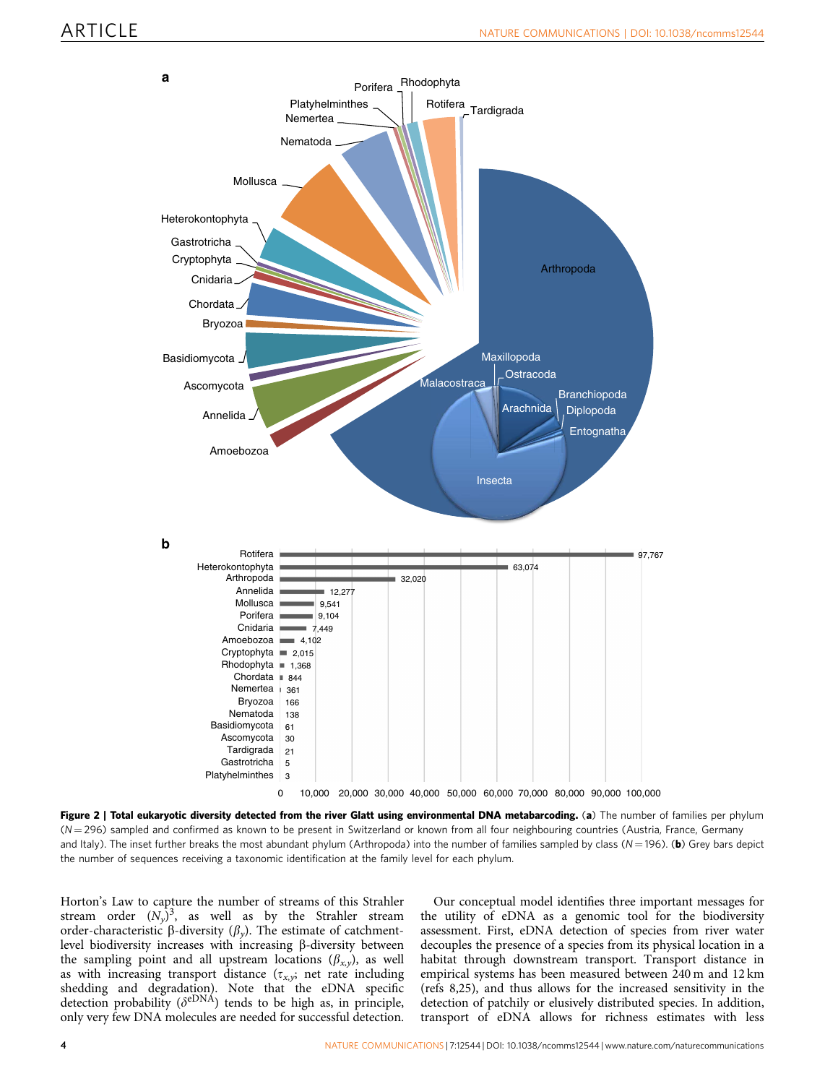<span id="page-4-0"></span>

Figure 2 | Total eukaryotic diversity detected from the river Glatt using environmental DNA metabarcoding. (a) The number of families per phylum  $(N = 296)$  sampled and confirmed as known to be present in Switzerland or known from all four neighbouring countries (Austria, France, Germany and Italy). The inset further breaks the most abundant phylum (Arthropoda) into the number of families sampled by class ( $N = 196$ ). (b) Grey bars depict the number of sequences receiving a taxonomic identification at the family level for each phylum.

Horton's Law to capture the number of streams of this Strahler stream order  $(N_y)^3$ , as well as by the Strahler stream order-characteristic  $\beta$ -diversity ( $\beta_{y}$ ). The estimate of catchmentlevel biodiversity increases with increasing  $\beta$ -diversity between the sampling point and all upstream locations  $(\beta_{x,y})$ , as well as with increasing transport distance  $(\tau_{x,y};$  net rate including shedding and degradation). Note that the eDNA specific detection probability ( $\delta^{\text{eDNA}}$ ) tends to be high as, in principle, only very few DNA molecules are needed for successful detection.

Our conceptual model identifies three important messages for the utility of eDNA as a genomic tool for the biodiversity assessment. First, eDNA detection of species from river water decouples the presence of a species from its physical location in a habitat through downstream transport. Transport distance in empirical systems has been measured between 240 m and 12 km ([refs 8,25](#page-8-0)), and thus allows for the increased sensitivity in the detection of patchily or elusively distributed species. In addition, transport of eDNA allows for richness estimates with less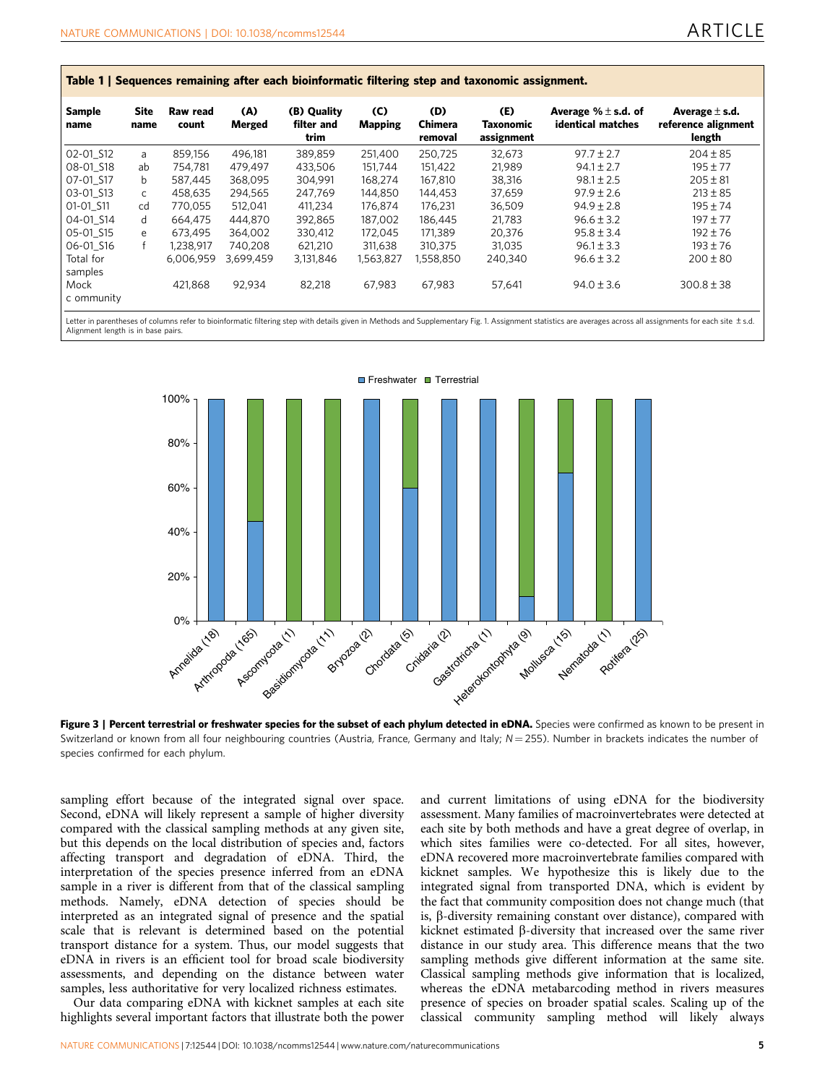<span id="page-5-0"></span>

|  |  |  |  | Table 1   Sequences remaining after each bioinformatic filtering step and taxonomic assignment. |
|--|--|--|--|-------------------------------------------------------------------------------------------------|
|--|--|--|--|-------------------------------------------------------------------------------------------------|

| <b>Sample</b><br>name         | Site<br>name | Raw read<br>count | (A)<br>Merged | (B) Quality<br>filter and<br>trim | (C)<br><b>Mapping</b> | (D)<br>Chimera<br>removal | (E)<br><b>Taxonomic</b><br>assignment | Average $% \pm s.d.$ of<br>identical matches | Average $\pm$ s.d.<br>reference alignment<br>length |
|-------------------------------|--------------|-------------------|---------------|-----------------------------------|-----------------------|---------------------------|---------------------------------------|----------------------------------------------|-----------------------------------------------------|
| 02-01 S12                     | a            | 859.156           | 496.181       | 389.859                           | 251,400               | 250.725                   | 32.673                                | $97.7 \pm 2.7$                               | $204 \pm 85$                                        |
| 08-01 S18                     | ab           | 754.781           | 479.497       | 433.506                           | 151.744               | 151.422                   | 21.989                                | $94.1 \pm 2.7$                               | $195 \pm 77$                                        |
| 07-01 S17                     | b            | 587.445           | 368.095       | 304,991                           | 168,274               | 167,810                   | 38,316                                | $98.1 \pm 2.5$                               | $205 \pm 81$                                        |
| 03-01 S13                     | $\mathsf{C}$ | 458.635           | 294.565       | 247.769                           | 144.850               | 144.453                   | 37.659                                | $97.9 \pm 2.6$                               | $213 \pm 85$                                        |
| 01-01 S11                     | cd           | 770.055           | 512.041       | 411.234                           | 176.874               | 176.231                   | 36.509                                | $94.9 \pm 2.8$                               | $195 \pm 74$                                        |
| 04-01 S14                     | d            | 664.475           | 444.870       | 392,865                           | 187.002               | 186,445                   | 21.783                                | $96.6 \pm 3.2$                               | $197 + 77$                                          |
| 05-01 S15                     | e            | 673.495           | 364.002       | 330,412                           | 172,045               | 171,389                   | 20,376                                | $95.8 \pm 3.4$                               | $192 \pm 76$                                        |
| 06-01 S16                     | f            | 1.238.917         | 740.208       | 621.210                           | 311.638               | 310.375                   | 31.035                                | $96.1 \pm 3.3$                               | $193 \pm 76$                                        |
| Total for                     |              | 6.006.959         | 3.699.459     | 3,131,846                         | 1,563,827             | 1,558,850                 | 240.340                               | $96.6 \pm 3.2$                               | $200 \pm 80$                                        |
| samples<br>Mock<br>c ommunity |              | 421.868           | 92.934        | 82,218                            | 67.983                | 67,983                    | 57.641                                | $94.0 \pm 3.6$                               | $300.8 \pm 38$                                      |

Letter in parentheses of columns refer to bioinformatic filtering step with details given in Methods and Supplementary Fig. 1. Assignment statistics are averages across all assignments for each site ± s.d. Alignment length is in base pairs.



Figure 3 | Percent terrestrial or freshwater species for the subset of each phylum detected in eDNA. Species were confirmed as known to be present in Switzerland or known from all four neighbouring countries (Austria, France, Germany and Italy;  $N = 255$ ). Number in brackets indicates the number of species confirmed for each phylum.

sampling effort because of the integrated signal over space. Second, eDNA will likely represent a sample of higher diversity compared with the classical sampling methods at any given site, but this depends on the local distribution of species and, factors affecting transport and degradation of eDNA. Third, the interpretation of the species presence inferred from an eDNA sample in a river is different from that of the classical sampling methods. Namely, eDNA detection of species should be interpreted as an integrated signal of presence and the spatial scale that is relevant is determined based on the potential transport distance for a system. Thus, our model suggests that eDNA in rivers is an efficient tool for broad scale biodiversity assessments, and depending on the distance between water samples, less authoritative for very localized richness estimates.

Our data comparing eDNA with kicknet samples at each site highlights several important factors that illustrate both the power

and current limitations of using eDNA for the biodiversity assessment. Many families of macroinvertebrates were detected at each site by both methods and have a great degree of overlap, in which sites families were co-detected. For all sites, however, eDNA recovered more macroinvertebrate families compared with kicknet samples. We hypothesize this is likely due to the integrated signal from transported DNA, which is evident by the fact that community composition does not change much (that is,  $\beta$ -diversity remaining constant over distance), compared with kicknet estimated  $\beta$ -diversity that increased over the same river distance in our study area. This difference means that the two sampling methods give different information at the same site. Classical sampling methods give information that is localized, whereas the eDNA metabarcoding method in rivers measures presence of species on broader spatial scales. Scaling up of the classical community sampling method will likely always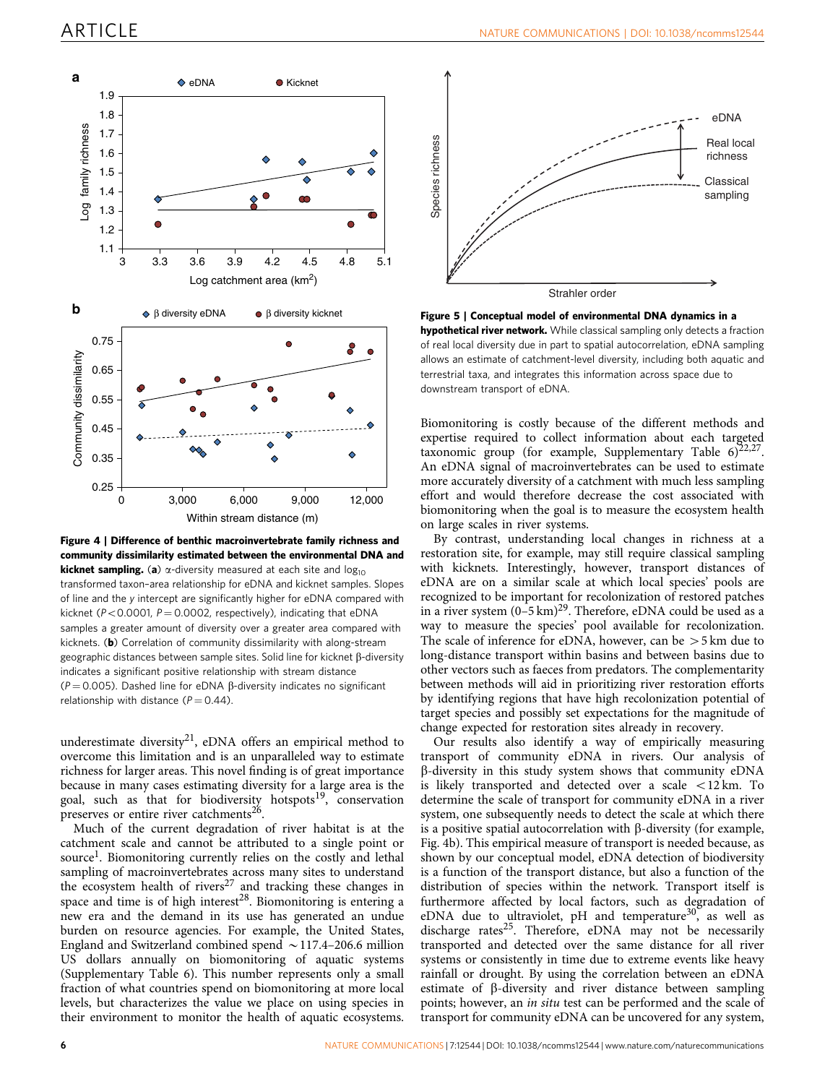<span id="page-6-0"></span>

Figure 4 | Difference of benthic macroinvertebrate family richness and community dissimilarity estimated between the environmental DNA and **kicknet sampling.** (a)  $\alpha$ -diversity measured at each site and  $log_{10}$ transformed taxon–area relationship for eDNA and kicknet samples. Slopes of line and the y intercept are significantly higher for eDNA compared with kicknet ( $P < 0.0001$ ,  $P = 0.0002$ , respectively), indicating that eDNA samples a greater amount of diversity over a greater area compared with kicknets. (b) Correlation of community dissimilarity with along-stream geographic distances between sample sites. Solid line for kicknet β-diversity indicates a significant positive relationship with stream distance ( $P = 0.005$ ). Dashed line for eDNA  $\beta$ -diversity indicates no significant relationship with distance ( $P = 0.44$ ).

underestimate diversity<sup>[21](#page-8-0)</sup>, eDNA offers an empirical method to overcome this limitation and is an unparalleled way to estimate richness for larger areas. This novel finding is of great importance because in many cases estimating diversity for a large area is the goal, such as that for biodiversity hotspots<sup>19</sup>, conservation preserves or entire river catchments<sup>26</sup>.

Much of the current degradation of river habitat is at the catchment scale and cannot be attributed to a single point or source<sup>1</sup>. Biomonitoring currently relies on the costly and lethal sampling of macroinvertebrates across many sites to understand the ecosystem health of rivers<sup>[27](#page-9-0)</sup> and tracking these changes in space and time is of high interest<sup>28</sup>. Biomonitoring is entering a new era and the demand in its use has generated an undue burden on resource agencies. For example, the United States, England and Switzerland combined spend  $\sim$  117.4–206.6 million US dollars annually on biomonitoring of aquatic systems (Supplementary Table 6). This number represents only a small fraction of what countries spend on biomonitoring at more local levels, but characterizes the value we place on using species in their environment to monitor the health of aquatic ecosystems.



Figure 5 | Conceptual model of environmental DNA dynamics in a hypothetical river network. While classical sampling only detects a fraction of real local diversity due in part to spatial autocorrelation, eDNA sampling allows an estimate of catchment-level diversity, including both aquatic and terrestrial taxa, and integrates this information across space due to downstream transport of eDNA.

Biomonitoring is costly because of the different methods and expertise required to collect information about each targeted taxonomic group (for example, Supplementary Table  $6)^{22,27}$ . An eDNA signal of macroinvertebrates can be used to estimate more accurately diversity of a catchment with much less sampling effort and would therefore decrease the cost associated with biomonitoring when the goal is to measure the ecosystem health on large scales in river systems.

By contrast, understanding local changes in richness at a restoration site, for example, may still require classical sampling with kicknets. Interestingly, however, transport distances of eDNA are on a similar scale at which local species' pools are recognized to be important for recolonization of restored patches in a river system  $(0-5 \text{ km})^{29}$  $(0-5 \text{ km})^{29}$  $(0-5 \text{ km})^{29}$ . Therefore, eDNA could be used as a way to measure the species' pool available for recolonization. The scale of inference for eDNA, however, can be  $>$  5 km due to long-distance transport within basins and between basins due to other vectors such as faeces from predators. The complementarity between methods will aid in prioritizing river restoration efforts by identifying regions that have high recolonization potential of target species and possibly set expectations for the magnitude of change expected for restoration sites already in recovery.

Our results also identify a way of empirically measuring transport of community eDNA in rivers. Our analysis of b-diversity in this study system shows that community eDNA is likely transported and detected over a scale  $\langle 12 \text{ km} \rangle$ . To determine the scale of transport for community eDNA in a river system, one subsequently needs to detect the scale at which there is a positive spatial autocorrelation with  $\beta$ -diversity (for example, Fig. 4b). This empirical measure of transport is needed because, as shown by our conceptual model, eDNA detection of biodiversity is a function of the transport distance, but also a function of the distribution of species within the network. Transport itself is furthermore affected by local factors, such as degradation of eDNA due to ultraviolet, pH and temperature<sup>30</sup>, as well as discharge rates<sup>25</sup>. Therefore, eDNA may not be necessarily transported and detected over the same distance for all river systems or consistently in time due to extreme events like heavy rainfall or drought. By using the correlation between an eDNA estimate of  $\beta$ -diversity and river distance between sampling points; however, an in situ test can be performed and the scale of The measure of the measure of the measure of the state of the state of the measurement of the state of the measurement of the measurement of the measurement of the measurement of the measurement of the measurement of the m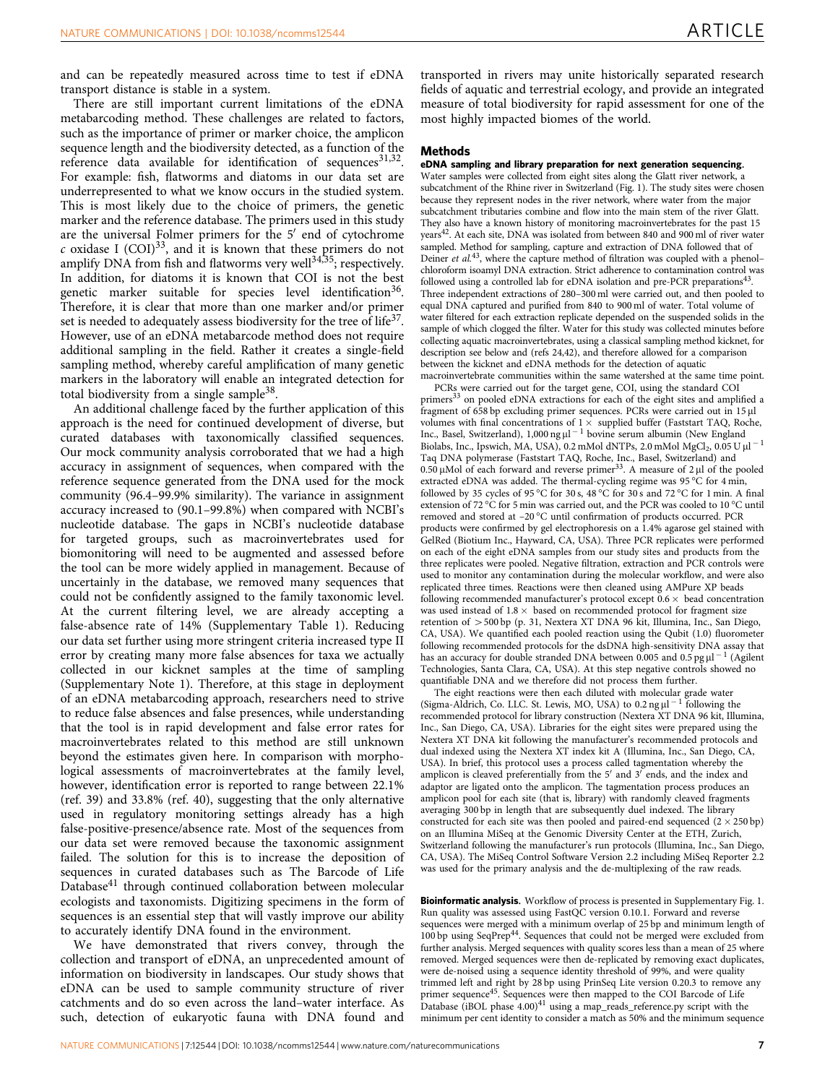and can be repeatedly measured across time to test if eDNA transport distance is stable in a system.

There are still important current limitations of the eDNA metabarcoding method. These challenges are related to factors, such as the importance of primer or marker choice, the amplicon sequence length and the biodiversity detected, as a function of the reference data available for identification of sequences  $31,32$ . For example: fish, flatworms and diatoms in our data set are underrepresented to what we know occurs in the studied system. This is most likely due to the choice of primers, the genetic marker and the reference database. The primers used in this study are the universal Folmer primers for the  $5'$  end of cytochrome  $c$  oxidase I (COI)<sup>[33](#page-9-0)</sup>, and it is known that these primers do not amplify DNA from fish and flatworms very well $34,35$ ; respectively. In addition, for diatoms it is known that COI is not the best genetic marker suitable for species level identification<sup>36</sup>. Therefore, it is clear that more than one marker and/or primer set is needed to adequately assess biodiversity for the tree of  $life^{3/}$ . However, use of an eDNA metabarcode method does not require additional sampling in the field. Rather it creates a single-field sampling method, whereby careful amplification of many genetic markers in the laboratory will enable an integrated detection for total biodiversity from a single sample<sup>38</sup>.

An additional challenge faced by the further application of this approach is the need for continued development of diverse, but curated databases with taxonomically classified sequences. Our mock community analysis corroborated that we had a high accuracy in assignment of sequences, when compared with the reference sequence generated from the DNA used for the mock community (96.4–99.9% similarity). The variance in assignment accuracy increased to (90.1–99.8%) when compared with NCBI's nucleotide database. The gaps in NCBI's nucleotide database for targeted groups, such as macroinvertebrates used for biomonitoring will need to be augmented and assessed before the tool can be more widely applied in management. Because of uncertainly in the database, we removed many sequences that could not be confidently assigned to the family taxonomic level. At the current filtering level, we are already accepting a false-absence rate of 14% (Supplementary Table 1). Reducing our data set further using more stringent criteria increased type II error by creating many more false absences for taxa we actually collected in our kicknet samples at the time of sampling (Supplementary Note 1). Therefore, at this stage in deployment of an eDNA metabarcoding approach, researchers need to strive to reduce false absences and false presences, while understanding that the tool is in rapid development and false error rates for macroinvertebrates related to this method are still unknown beyond the estimates given here. In comparison with morphological assessments of macroinvertebrates at the family level, however, identification error is reported to range between 22.1% ([ref. 39](#page-9-0)) and 33.8% [\(ref. 40\)](#page-9-0), suggesting that the only alternative used in regulatory monitoring settings already has a high false-positive-presence/absence rate. Most of the sequences from our data set were removed because the taxonomic assignment failed. The solution for this is to increase the deposition of sequences in curated databases such as The Barcode of Life Database<sup>[41](#page-9-0)</sup> through continued collaboration between molecular ecologists and taxonomists. Digitizing specimens in the form of sequences is an essential step that will vastly improve our ability to accurately identify DNA found in the environment.

We have demonstrated that rivers convey, through the collection and transport of eDNA, an unprecedented amount of information on biodiversity in landscapes. Our study shows that eDNA can be used to sample community structure of river catchments and do so even across the land–water interface. As such, detection of eukaryotic fauna with DNA found and

transported in rivers may unite historically separated research fields of aquatic and terrestrial ecology, and provide an integrated measure of total biodiversity for rapid assessment for one of the most highly impacted biomes of the world.

#### **Methods**

#### eDNA sampling and library preparation for next generation sequencing.

Water samples were collected from eight sites along the Glatt river network, a subcatchment of the Rhine river in Switzerland [\(Fig. 1](#page-3-0)). The study sites were chosen because they represent nodes in the river network, where water from the major subcatchment tributaries combine and flow into the main stem of the river Glatt. They also have a known history of monitoring macroinvertebrates for the past 15 years[42](#page-9-0). At each site, DNA was isolated from between 840 and 900 ml of river water sampled. Method for sampling, capture and extraction of DNA followed that of Deiner et al.<sup>[43](#page-9-0)</sup>, where the capture method of filtration was coupled with a phenolchloroform isoamyl DNA extraction. Strict adherence to contamination control was followed using a controlled lab for eDNA isolation and pre-PCR preparations<sup>4</sup> Three independent extractions of 280–300 ml were carried out, and then pooled to equal DNA captured and purified from 840 to 900 ml of water. Total volume of water filtered for each extraction replicate depended on the suspended solids in the sample of which clogged the filter. Water for this study was collected minutes before collecting aquatic macroinvertebrates, using a classical sampling method kicknet, for description see below and ([refs 24,42](#page-8-0)), and therefore allowed for a comparison between the kicknet and eDNA methods for the detection of aquatic macroinvertebrate communities within the same watershed at the same time point.

PCRs were carried out for the target gene, COI, using the standard COI primers<sup>[33](#page-9-0)</sup> on pooled eDNA extractions for each of the eight sites and amplified a fragment of 658 bp excluding primer sequences. PCRs were carried out in 15 µl volumes with final concentrations of  $1 \times$  supplied buffer (Faststart TAQ, Roche, Inc., Basel, Switzerland),  $1,000$  ng  $\mu$ <sup>-1</sup> bovine serum albumin (New England Biolabs, Inc., Ipswich, MA, USA), 0.2 mMol dNTPs, 2.0 mMol MgCl<sub>2</sub>, 0.05 U  $\mu\rm l^{-1}$ Taq DNA polymerase (Faststart TAQ, Roche, Inc., Basel, Switzerland) and  $0.50 \mu$ Mol of each forward and reverse primer<sup>33</sup>. A measure of 2  $\mu$ l of the pooled extracted eDNA was added. The thermal-cycling regime was  $95^{\circ}$ C for 4 min, followed by 35 cycles of 95 °C for 30 s, 48 °C for 30 s and 72 °C for 1 min. A final extension of 72 °C for 5 min was carried out, and the PCR was cooled to 10 °C until removed and stored at -20 °C until confirmation of products occurred. PCR products were confirmed by gel electrophoresis on a 1.4% agarose gel stained with GelRed (Biotium Inc., Hayward, CA, USA). Three PCR replicates were performed on each of the eight eDNA samples from our study sites and products from the three replicates were pooled. Negative filtration, extraction and PCR controls were used to monitor any contamination during the molecular workflow, and were also replicated three times. Reactions were then cleaned using AMPure XP beads following recommended manufacturer's protocol except  $0.6 \times$  bead concentration was used instead of  $1.8 \times$  based on recommended protocol for fragment size retention of > 500 bp (p. 31, Nextera XT DNA 96 kit, Illumina, Inc., San Diego, CA, USA). We quantified each pooled reaction using the Qubit (1.0) fluorometer following recommended protocols for the dsDNA high-sensitivity DNA assay that has an accuracy for double stranded DNA between 0.005 and 0.5 pg  $\mu$ l<sup>-1</sup> (Agilent Technologies, Santa Clara, CA, USA). At this step negative controls showed no quantifiable DNA and we therefore did not process them further.

The eight reactions were then each diluted with molecular grade water (Sigma-Aldrich, Co. LLC. St. Lewis, MO, USA) to  $0.2$  ng  $\mu$ l<sup>-1</sup> following the recommended protocol for library construction (Nextera XT DNA 96 kit, Illumina, Inc., San Diego, CA, USA). Libraries for the eight sites were prepared using the Nextera XT DNA kit following the manufacturer's recommended protocols and dual indexed using the Nextera XT index kit A (Illumina, Inc., San Diego, CA, USA). In brief, this protocol uses a process called tagmentation whereby the amplicon is cleaved preferentially from the  $5'$  and  $3'$  ends, and the index and adaptor are ligated onto the amplicon. The tagmentation process produces an amplicon pool for each site (that is, library) with randomly cleaved fragments averaging 300 bp in length that are subsequently duel indexed. The library constructed for each site was then pooled and paired-end sequenced  $(2 \times 250 \text{ bp})$ on an Illumina MiSeq at the Genomic Diversity Center at the ETH, Zurich, Switzerland following the manufacturer's run protocols (Illumina, Inc., San Diego, CA, USA). The MiSeq Control Software Version 2.2 including MiSeq Reporter 2.2 was used for the primary analysis and the de-multiplexing of the raw reads.

Bioinformatic analysis. Workflow of process is presented in Supplementary Fig. 1. Run quality was assessed using FastQC version 0.10.1. Forward and reverse sequences were merged with a minimum overlap of 25 bp and minimum length of 100 bp using SeqPrep<sup>[44](#page-9-0)</sup>. Sequences that could not be merged were excluded from further analysis. Merged sequences with quality scores less than a mean of 25 where removed. Merged sequences were then de-replicated by removing exact duplicates, were de-noised using a sequence identity threshold of 99%, and were quality trimmed left and right by 28 bp using PrinSeq Lite version 0.20.3 to remove any primer sequence<sup>[45](#page-9-0)</sup>. Sequences were then mapped to the COI Barcode of Life Database (iBOL phase 4.00)<sup>[41](#page-9-0)</sup> using a map\_reads\_reference.py script with the minimum per cent identity to consider a match as 50% and the minimum sequence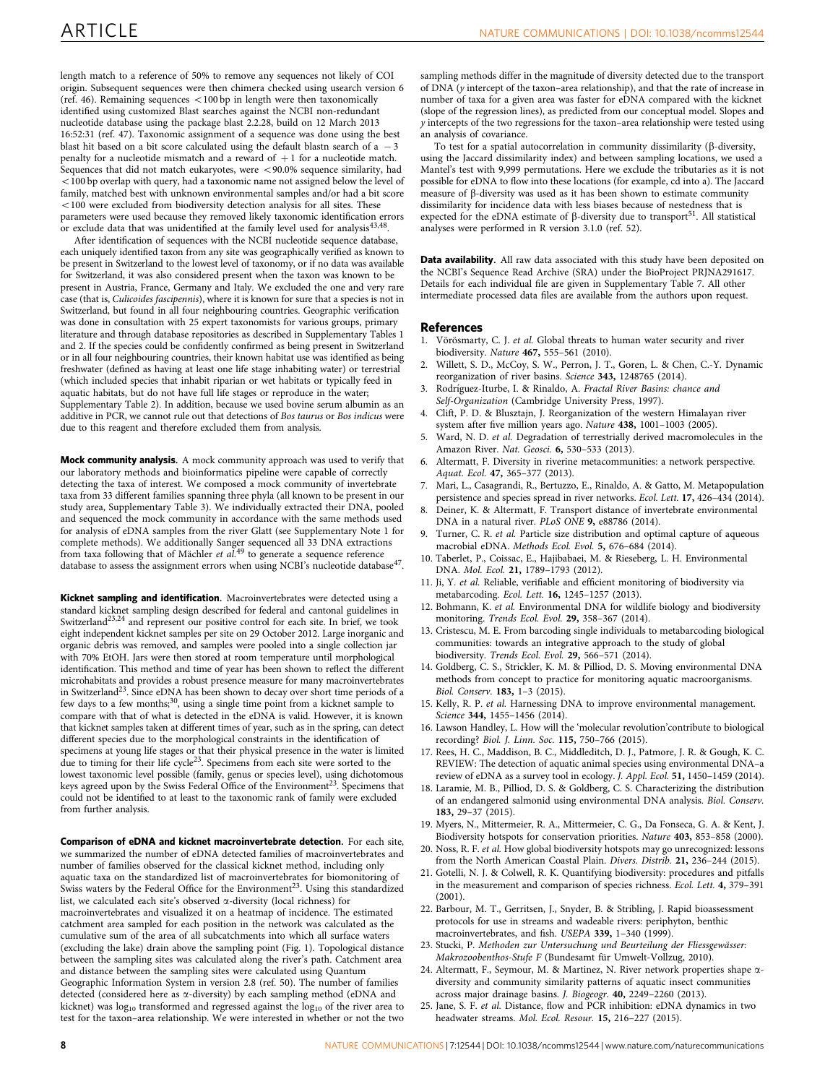<span id="page-8-0"></span>length match to a reference of 50% to remove any sequences not likely of COI origin. Subsequent sequences were then chimera checked using usearch version 6 [\(ref. 46](#page-9-0)). Remaining sequences  $<$  100 bp in length were then taxonomically identified using customized Blast searches against the NCBI non-redundant nucleotide database using the package blast 2.2.28, build on 12 March 2013 16:52:31 [\(ref. 47\)](#page-9-0). Taxonomic assignment of a sequence was done using the best blast hit based on a bit score calculated using the default blastn search of a  $-3$ penalty for a nucleotide mismatch and a reward of  $+1$  for a nucleotide match. Sequences that did not match eukaryotes, were  $<$  90.0% sequence similarity, had  $<$  100 bp overlap with query, had a taxonomic name not assigned below the level of family, matched best with unknown environmental samples and/or had a bit score  $<$  100 were excluded from biodiversity detection analysis for all sites. These parameters were used because they removed likely taxonomic identification errors or exclude data that was unidentified at the family level used for analysis<sup>[43,48](#page-9-0)</sup>.

After identification of sequences with the NCBI nucleotide sequence database, each uniquely identified taxon from any site was geographically verified as known to be present in Switzerland to the lowest level of taxonomy, or if no data was available for Switzerland, it was also considered present when the taxon was known to be present in Austria, France, Germany and Italy. We excluded the one and very rare case (that is, Culicoides fascipennis), where it is known for sure that a species is not in Switzerland, but found in all four neighbouring countries. Geographic verification was done in consultation with 25 expert taxonomists for various groups, primary literature and through database repositories as described in Supplementary Tables 1 and 2. If the species could be confidently confirmed as being present in Switzerland or in all four neighbouring countries, their known habitat use was identified as being freshwater (defined as having at least one life stage inhabiting water) or terrestrial (which included species that inhabit riparian or wet habitats or typically feed in aquatic habitats, but do not have full life stages or reproduce in the water; Supplementary Table 2). In addition, because we used bovine serum albumin as an additive in PCR, we cannot rule out that detections of Bos taurus or Bos indicus were due to this reagent and therefore excluded them from analysis.

Mock community analysis. A mock community approach was used to verify that our laboratory methods and bioinformatics pipeline were capable of correctly detecting the taxa of interest. We composed a mock community of invertebrate taxa from 33 different families spanning three phyla (all known to be present in our study area, Supplementary Table 3). We individually extracted their DNA, pooled and sequenced the mock community in accordance with the same methods used for analysis of eDNA samples from the river Glatt (see Supplementary Note 1 for complete methods). We additionally Sanger sequenced all 33 DNA extractions<br>from taxa following that of Mächler *et al*.<sup>[49](#page-9-0)</sup> to generate a sequence reference database to assess the assignment errors when using NCBI's nucleotide database<sup>[47](#page-9-0)</sup>.

Kicknet sampling and identification. Macroinvertebrates were detected using a standard kicknet sampling design described for federal and cantonal guidelines in Switzerland<sup>23,24</sup> and represent our positive control for each site. In brief, we took eight independent kicknet samples per site on 29 October 2012. Large inorganic and organic debris was removed, and samples were pooled into a single collection jar with 70% EtOH. Jars were then stored at room temperature until morphological identification. This method and time of year has been shown to reflect the different microhabitats and provides a robust presence measure for many macroinvertebrates in Switzerland23. Since eDNA has been shown to decay over short time periods of a few days to a few months;<sup>30</sup>, using a single time point from a kicknet sample to compare with that of what is detected in the eDNA is valid. However, it is known that kicknet samples taken at different times of year, such as in the spring, can detect different species due to the morphological constraints in the identification of specimens at young life stages or that their physical presence in the water is limited due to timing for their life cycle<sup>23</sup>. Specimens from each site were sorted to the lowest taxonomic level possible (family, genus or species level), using dichotomous keys agreed upon by the Swiss Federal Office of the Environment<sup>23</sup>. Specimens that could not be identified to at least to the taxonomic rank of family were excluded from further analysis.

Comparison of eDNA and kicknet macroinvertebrate detection. For each site, we summarized the number of eDNA detected families of macroinvertebrates and number of families observed for the classical kicknet method, including only aquatic taxa on the standardized list of macroinvertebrates for biomonitoring of Swiss waters by the Federal Office for the Environment<sup>23</sup>. Using this standardized list, we calculated each site's observed  $\alpha$ -diversity (local richness) for macroinvertebrates and visualized it on a heatmap of incidence. The estimated catchment area sampled for each position in the network was calculated as the cumulative sum of the area of all subcatchments into which all surface waters (excluding the lake) drain above the sampling point [\(Fig. 1](#page-3-0)). Topological distance between the sampling sites was calculated along the river's path. Catchment area and distance between the sampling sites were calculated using Quantum Geographic Information System in version 2.8 ([ref. 50](#page-9-0)). The number of families detected (considered here as  $\alpha$ -diversity) by each sampling method (eDNA and kicknet) was  $log_{10}$  transformed and regressed against the  $log_{10}$  of the river area to test for the taxon–area relationship. We were interested in whether or not the two

sampling methods differ in the magnitude of diversity detected due to the transport of DNA (y intercept of the taxon–area relationship), and that the rate of increase in number of taxa for a given area was faster for eDNA compared with the kicknet (slope of the regression lines), as predicted from our conceptual model. Slopes and y intercepts of the two regressions for the taxon–area relationship were tested using an analysis of covariance.

To test for a spatial autocorrelation in community dissimilarity ( $\beta$ -diversity, using the Jaccard dissimilarity index) and between sampling locations, we used a Mantel's test with 9,999 permutations. Here we exclude the tributaries as it is not possible for eDNA to flow into these locations (for example, cd into a). The Jaccard measure of b-diversity was used as it has been shown to estimate community dissimilarity for incidence data with less biases because of nestedness that is expected for the eDNA estimate of  $\beta$ -diversity due to transport<sup>51</sup>. All statistical analyses were performed in R version 3.1.0 ([ref. 52](#page-9-0)).

Data availability. All raw data associated with this study have been deposited on the NCBI's Sequence Read Archive (SRA) under the BioProject PRJNA291617. Details for each individual file are given in Supplementary Table 7. All other intermediate processed data files are available from the authors upon request.

#### References

- 1. Vörösmarty, C. J. et al. Global threats to human water security and river biodiversity. Nature 467, 555–561 (2010).
- 2. Willett, S. D., McCoy, S. W., Perron, J. T., Goren, L. & Chen, C.-Y. Dynamic reorganization of river basins. Science 343, 1248765 (2014).
- Rodríguez-Iturbe, I. & Rinaldo, A. Fractal River Basins: chance and Self-Organization (Cambridge University Press, 1997).
- 4. Clift, P. D. & Blusztajn, J. Reorganization of the western Himalayan river system after five million years ago. Nature 438, 1001-1003 (2005).
- Ward, N. D. et al. Degradation of terrestrially derived macromolecules in the Amazon River. Nat. Geosci. 6, 530–533 (2013).
- 6. Altermatt, F. Diversity in riverine metacommunities: a network perspective. Aquat. Ecol. 47, 365–377 (2013).
- 7. Mari, L., Casagrandi, R., Bertuzzo, E., Rinaldo, A. & Gatto, M. Metapopulation persistence and species spread in river networks. Ecol. Lett. 17, 426-434 (2014).
- Deiner, K. & Altermatt, F. Transport distance of invertebrate environmental DNA in a natural river. PLoS ONE 9, e88786 (2014).
- 9. Turner, C. R. et al. Particle size distribution and optimal capture of aqueous macrobial eDNA. Methods Ecol. Evol. 5, 676–684 (2014).
- 10. Taberlet, P., Coissac, E., Hajibabaei, M. & Rieseberg, L. H. Environmental DNA. Mol. Ecol. 21, 1789–1793 (2012).
- 11. Ji, Y. et al. Reliable, verifiable and efficient monitoring of biodiversity via metabarcoding. Ecol. Lett. 16, 1245–1257 (2013).
- 12. Bohmann, K. et al. Environmental DNA for wildlife biology and biodiversity monitoring. Trends Ecol. Evol. 29, 358–367 (2014).
- 13. Cristescu, M. E. From barcoding single individuals to metabarcoding biological communities: towards an integrative approach to the study of global biodiversity. Trends Ecol. Evol. 29, 566–571 (2014).
- 14. Goldberg, C. S., Strickler, K. M. & Pilliod, D. S. Moving environmental DNA methods from concept to practice for monitoring aquatic macroorganisms. Biol. Conserv. 183, 1–3 (2015).
- 15. Kelly, R. P. et al. Harnessing DNA to improve environmental management. Science 344, 1455-1456 (2014).
- 16. Lawson Handley, L. How will the 'molecular revolution'contribute to biological recording? Biol. J. Linn. Soc. 115, 750–766 (2015).
- 17. Rees, H. C., Maddison, B. C., Middleditch, D. J., Patmore, J. R. & Gough, K. C. REVIEW: The detection of aquatic animal species using environmental DNA–a review of eDNA as a survey tool in ecology. J. Appl. Ecol. 51, 1450–1459 (2014).
- 18. Laramie, M. B., Pilliod, D. S. & Goldberg, C. S. Characterizing the distribution of an endangered salmonid using environmental DNA analysis. Biol. Conserv. 183, 29–37 (2015).
- 19. Myers, N., Mittermeier, R. A., Mittermeier, C. G., Da Fonseca, G. A. & Kent, J. Biodiversity hotspots for conservation priorities. Nature 403, 853–858 (2000).
- 20. Noss, R. F. et al. How global biodiversity hotspots may go unrecognized: lessons from the North American Coastal Plain. Divers. Distrib. 21, 236–244 (2015).
- 21. Gotelli, N. J. & Colwell, R. K. Quantifying biodiversity: procedures and pitfalls in the measurement and comparison of species richness. Ecol. Lett. 4, 379–391 (2001).
- 22. Barbour, M. T., Gerritsen, J., Snyder, B. & Stribling, J. Rapid bioassessment protocols for use in streams and wadeable rivers: periphyton, benthic macroinvertebrates, and fish. USEPA 339, 1–340 (1999).
- 23. Stucki, P. Methoden zur Untersuchung und Beurteilung der Fliessgewässer: Makrozoobenthos-Stufe F (Bundesamt für Umwelt-Vollzug, 2010).
- 24. Altermatt, F., Seymour, M. & Martinez, N. River network properties shape adiversity and community similarity patterns of aquatic insect communities across major drainage basins. J. Biogeogr. 40, 2249–2260 (2013).
- 25. Jane, S. F. et al. Distance, flow and PCR inhibition: eDNA dynamics in two headwater streams. Mol. Ecol. Resour. 15, 216–227 (2015).